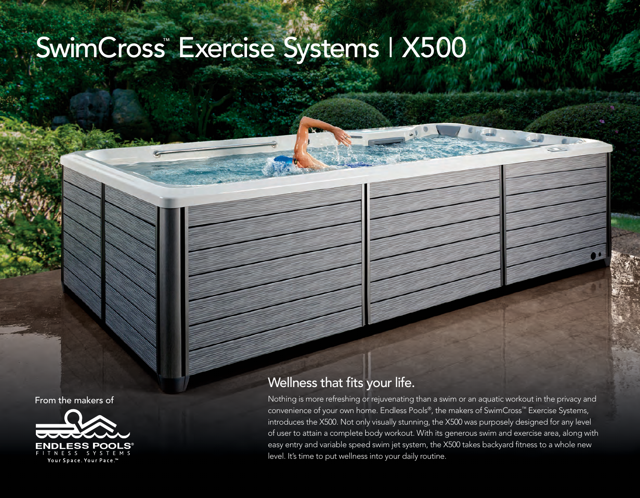## SwimCross™ Exercise Systems | X500

From the makers of



## Wellness that fits your life.

Nothing is more refreshing or rejuvenating than a swim or an aquatic workout in the privacy and convenience of your own home. Endless Pools®, the makers of SwimCross™ Exercise Systems, introduces the X500. Not only visually stunning, the X500 was purposely designed for any level of user to attain a complete body workout. With its generous swim and exercise area, along with easy entry and variable speed swim jet system, the X500 takes backyard fitness to a whole new level. It's time to put wellness into your daily routine.